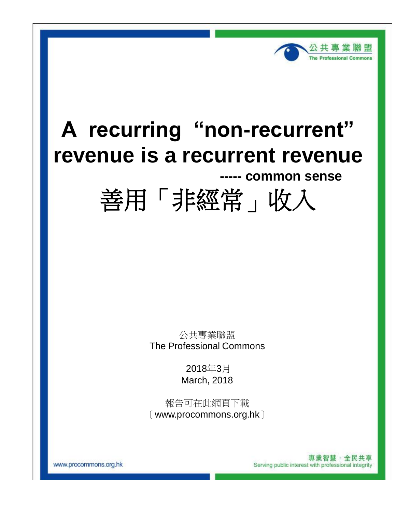

# **A recurring "non-recurrent" revenue is a recurrent revenue**

# **----- common sense**



公共專業聯盟 The Professional Commons

> 2018年3月 March, 2018

報告可在此網頁下載 〔www.procommons.org.hk〕

> 專業智慧·全民共享 Serving public interest with professional integrity

www.procommons.org.hk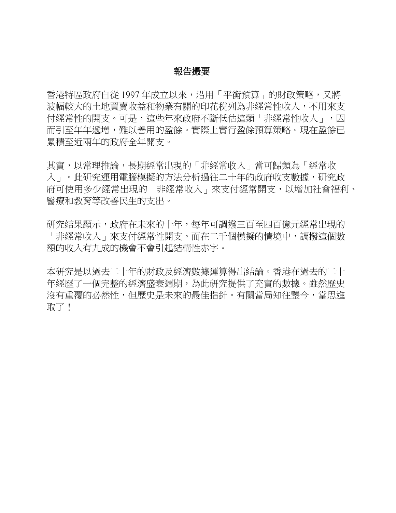## 報告撮要

香港特區政府自從 1997年成立以來,沿用「平衡預算」的財政策略,又將 波幅較大的土地買賣收益和物業有關的印花稅列為非經常性收入,不用來支 付經常性的開支。可是,這些年來政府不斷低估這類「非經常性收入」,因 而引至年年遞增,難以善用的盈餘。實際上實行盈餘預算策略。現在盈餘已 累積至近兩年的政府全年開支。

其實,以常理推論,長期經常出現的「非經常收入」當可歸類為「經常收 入」。此研究運用電腦模擬的方法分析過往二十年的政府收支數據,研究政 府可使用多少經常出現的「非經常收入」來支付經常開支,以增加社會福利、 醫療和教育等改善民生的支出。

研究結果顯示,政府在未來的十年,每年可調撥三百至四百億元經常出現的 「非經常收入」來支付經常性開支。而在二千個模擬的情境中,調撥這個數 額的收入有九成的機會不會引起結構性赤字。

本研究是以過去二十年的財政及經濟數據運算得出結論。香港在過去的二十 年經歷了一個完整的經濟盛衰週期,為此研究提供了充實的數據。雖然歷史 沒有重覆的必然性,但歷史是未來的最佳指針。有關當局知往鑒今,當思進 取了!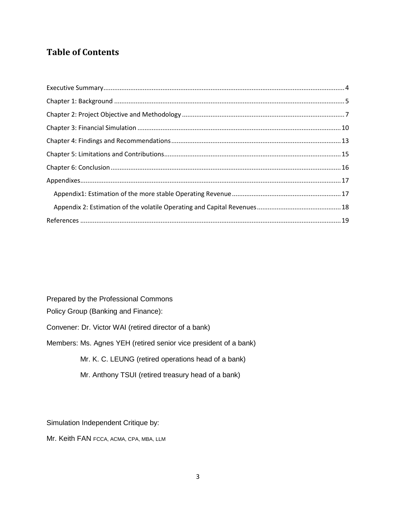# **Table of Contents**

Prepared by the Professional Commons

Policy Group (Banking and Finance):

Convener: Dr. Victor WAI (retired director of a bank)

Members: Ms. Agnes YEH (retired senior vice president of a bank)

Mr. K. C. LEUNG (retired operations head of a bank)

Mr. Anthony TSUI (retired treasury head of a bank)

Simulation Independent Critique by:

Mr. Keith FAN FCCA, ACMA, CPA, MBA, LLM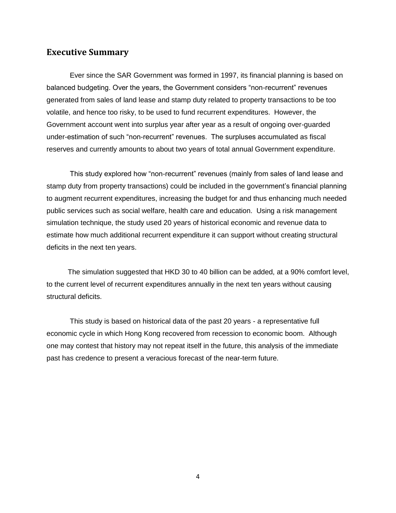#### <span id="page-3-0"></span>**Executive Summary**

Ever since the SAR Government was formed in 1997, its financial planning is based on balanced budgeting. Over the years, the Government considers "non-recurrent" revenues generated from sales of land lease and stamp duty related to property transactions to be too volatile, and hence too risky, to be used to fund recurrent expenditures. However, the Government account went into surplus year after year as a result of ongoing over-guarded under-estimation of such "non-recurrent" revenues. The surpluses accumulated as fiscal reserves and currently amounts to about two years of total annual Government expenditure.

This study explored how "non-recurrent" revenues (mainly from sales of land lease and stamp duty from property transactions) could be included in the government's financial planning to augment recurrent expenditures, increasing the budget for and thus enhancing much needed public services such as social welfare, health care and education. Using a risk management simulation technique, the study used 20 years of historical economic and revenue data to estimate how much additional recurrent expenditure it can support without creating structural deficits in the next ten years.

The simulation suggested that HKD 30 to 40 billion can be added, at a 90% comfort level, to the current level of recurrent expenditures annually in the next ten years without causing structural deficits.

This study is based on historical data of the past 20 years - a representative full economic cycle in which Hong Kong recovered from recession to economic boom. Although one may contest that history may not repeat itself in the future, this analysis of the immediate past has credence to present a veracious forecast of the near-term future.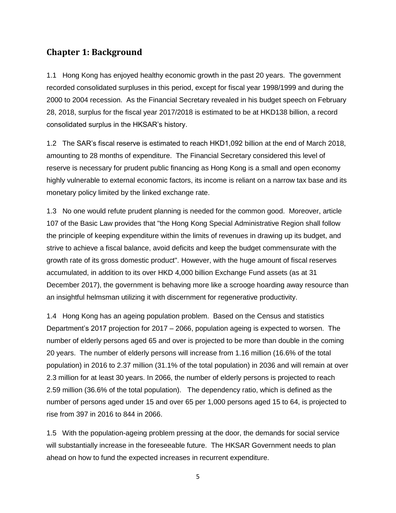## <span id="page-4-0"></span>**Chapter 1: Background**

1.1 Hong Kong has enjoyed healthy economic growth in the past 20 years. The government recorded consolidated surpluses in this period, except for fiscal year 1998/1999 and during the 2000 to 2004 recession. As the Financial Secretary revealed in his budget speech on February 28, 2018, surplus for the fiscal year 2017/2018 is estimated to be at HKD138 billion, a record consolidated surplus in the HKSAR's history.

1.2 The SAR's fiscal reserve is estimated to reach HKD1,092 billion at the end of March 2018, amounting to 28 months of expenditure. The Financial Secretary considered this level of reserve is necessary for prudent public financing as Hong Kong is a small and open economy highly vulnerable to external economic factors, its income is reliant on a narrow tax base and its monetary policy limited by the linked exchange rate.

1.3 No one would refute prudent planning is needed for the common good. Moreover, article 107 of the Basic Law provides that "the Hong Kong Special Administrative Region shall follow the principle of keeping expenditure within the limits of revenues in drawing up its budget, and strive to achieve a fiscal balance, avoid deficits and keep the budget commensurate with the growth rate of its gross domestic product". However, with the huge amount of fiscal reserves accumulated, in addition to its over HKD 4,000 billion Exchange Fund assets (as at 31 December 2017), the government is behaving more like a scrooge hoarding away resource than an insightful helmsman utilizing it with discernment for regenerative productivity.

1.4 Hong Kong has an ageing population problem. Based on the Census and statistics Department's 2017 projection for 2017 – 2066, population ageing is expected to worsen. The number of elderly persons aged 65 and over is projected to be more than double in the coming 20 years. The number of elderly persons will increase from 1.16 million (16.6% of the total population) in 2016 to 2.37 million (31.1% of the total population) in 2036 and will remain at over 2.3 million for at least 30 years. In 2066, the number of elderly persons is projected to reach 2.59 million (36.6% of the total population). The dependency ratio, which is defined as the number of persons aged under 15 and over 65 per 1,000 persons aged 15 to 64, is projected to rise from 397 in 2016 to 844 in 2066.

1.5 With the population-ageing problem pressing at the door, the demands for social service will substantially increase in the foreseeable future. The HKSAR Government needs to plan ahead on how to fund the expected increases in recurrent expenditure.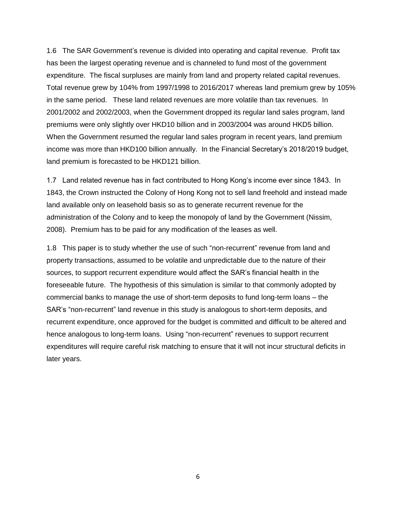1.6 The SAR Government's revenue is divided into operating and capital revenue. Profit tax has been the largest operating revenue and is channeled to fund most of the government expenditure. The fiscal surpluses are mainly from land and property related capital revenues. Total revenue grew by 104% from 1997/1998 to 2016/2017 whereas land premium grew by 105% in the same period. These land related revenues are more volatile than tax revenues. In 2001/2002 and 2002/2003, when the Government dropped its regular land sales program, land premiums were only slightly over HKD10 billion and in 2003/2004 was around HKD5 billion. When the Government resumed the regular land sales program in recent years, land premium income was more than HKD100 billion annually. In the Financial Secretary's 2018/2019 budget, land premium is forecasted to be HKD121 billion.

1.7 Land related revenue has in fact contributed to Hong Kong's income ever since 1843. In 1843, the Crown instructed the Colony of Hong Kong not to sell land freehold and instead made land available only on leasehold basis so as to generate recurrent revenue for the administration of the Colony and to keep the monopoly of land by the Government (Nissim, 2008). Premium has to be paid for any modification of the leases as well.

1.8 This paper is to study whether the use of such "non-recurrent" revenue from land and property transactions, assumed to be volatile and unpredictable due to the nature of their sources, to support recurrent expenditure would affect the SAR's financial health in the foreseeable future. The hypothesis of this simulation is similar to that commonly adopted by commercial banks to manage the use of short-term deposits to fund long-term loans – the SAR's "non-recurrent" land revenue in this study is analogous to short-term deposits, and recurrent expenditure, once approved for the budget is committed and difficult to be altered and hence analogous to long-term loans. Using "non-recurrent" revenues to support recurrent expenditures will require careful risk matching to ensure that it will not incur structural deficits in later years.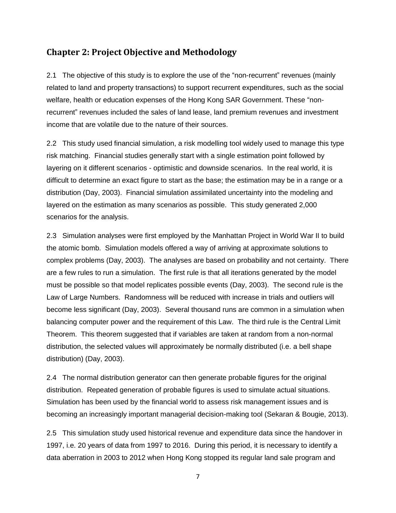## <span id="page-6-0"></span>**Chapter 2: Project Objective and Methodology**

2.1 The objective of this study is to explore the use of the "non-recurrent" revenues (mainly related to land and property transactions) to support recurrent expenditures, such as the social welfare, health or education expenses of the Hong Kong SAR Government. These "nonrecurrent" revenues included the sales of land lease, land premium revenues and investment income that are volatile due to the nature of their sources.

2.2 This study used financial simulation, a risk modelling tool widely used to manage this type risk matching. Financial studies generally start with a single estimation point followed by layering on it different scenarios - optimistic and downside scenarios. In the real world, it is difficult to determine an exact figure to start as the base; the estimation may be in a range or a distribution (Day, 2003). Financial simulation assimilated uncertainty into the modeling and layered on the estimation as many scenarios as possible. This study generated 2,000 scenarios for the analysis.

2.3 Simulation analyses were first employed by the Manhattan Project in World War II to build the atomic bomb. Simulation models offered a way of arriving at approximate solutions to complex problems (Day, 2003). The analyses are based on probability and not certainty. There are a few rules to run a simulation. The first rule is that all iterations generated by the model must be possible so that model replicates possible events (Day, 2003). The second rule is the Law of Large Numbers. Randomness will be reduced with increase in trials and outliers will become less significant (Day, 2003). Several thousand runs are common in a simulation when balancing computer power and the requirement of this Law. The third rule is the Central Limit Theorem. This theorem suggested that if variables are taken at random from a non-normal distribution, the selected values will approximately be normally distributed (i.e. a bell shape distribution) (Day, 2003).

2.4 The normal distribution generator can then generate probable figures for the original distribution. Repeated generation of probable figures is used to simulate actual situations. Simulation has been used by the financial world to assess risk management issues and is becoming an increasingly important managerial decision-making tool (Sekaran & Bougie, 2013).

2.5 This simulation study used historical revenue and expenditure data since the handover in 1997, i.e. 20 years of data from 1997 to 2016. During this period, it is necessary to identify a data aberration in 2003 to 2012 when Hong Kong stopped its regular land sale program and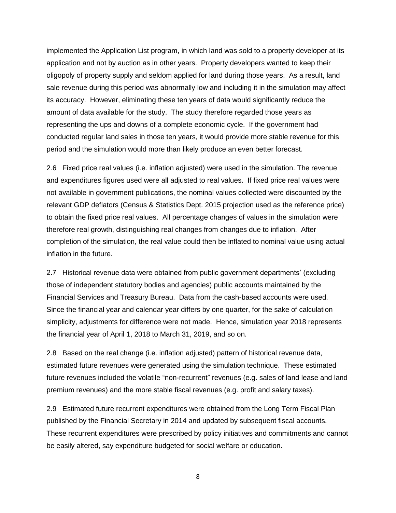implemented the Application List program, in which land was sold to a property developer at its application and not by auction as in other years. Property developers wanted to keep their oligopoly of property supply and seldom applied for land during those years. As a result, land sale revenue during this period was abnormally low and including it in the simulation may affect its accuracy. However, eliminating these ten years of data would significantly reduce the amount of data available for the study. The study therefore regarded those years as representing the ups and downs of a complete economic cycle. If the government had conducted regular land sales in those ten years, it would provide more stable revenue for this period and the simulation would more than likely produce an even better forecast.

2.6 Fixed price real values (i.e. inflation adjusted) were used in the simulation. The revenue and expenditures figures used were all adjusted to real values. If fixed price real values were not available in government publications, the nominal values collected were discounted by the relevant GDP deflators (Census & Statistics Dept. 2015 projection used as the reference price) to obtain the fixed price real values. All percentage changes of values in the simulation were therefore real growth, distinguishing real changes from changes due to inflation. After completion of the simulation, the real value could then be inflated to nominal value using actual inflation in the future.

2.7 Historical revenue data were obtained from public government departments' (excluding those of independent statutory bodies and agencies) public accounts maintained by the Financial Services and Treasury Bureau. Data from the cash-based accounts were used. Since the financial year and calendar year differs by one quarter, for the sake of calculation simplicity, adjustments for difference were not made. Hence, simulation year 2018 represents the financial year of April 1, 2018 to March 31, 2019, and so on.

2.8 Based on the real change (i.e. inflation adjusted) pattern of historical revenue data, estimated future revenues were generated using the simulation technique. These estimated future revenues included the volatile "non-recurrent" revenues (e.g. sales of land lease and land premium revenues) and the more stable fiscal revenues (e.g. profit and salary taxes).

2.9 Estimated future recurrent expenditures were obtained from the Long Term Fiscal Plan published by the Financial Secretary in 2014 and updated by subsequent fiscal accounts. These recurrent expenditures were prescribed by policy initiatives and commitments and cannot be easily altered, say expenditure budgeted for social welfare or education.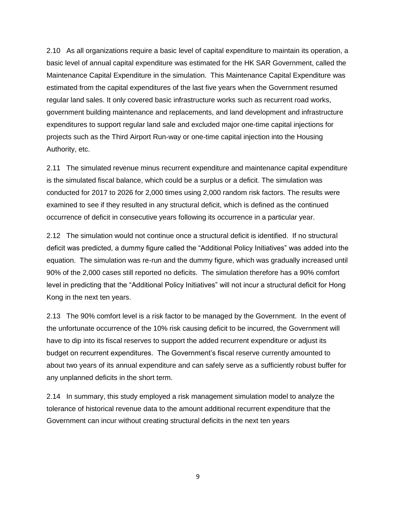2.10 As all organizations require a basic level of capital expenditure to maintain its operation, a basic level of annual capital expenditure was estimated for the HK SAR Government, called the Maintenance Capital Expenditure in the simulation. This Maintenance Capital Expenditure was estimated from the capital expenditures of the last five years when the Government resumed regular land sales. It only covered basic infrastructure works such as recurrent road works, government building maintenance and replacements, and land development and infrastructure expenditures to support regular land sale and excluded major one-time capital injections for projects such as the Third Airport Run-way or one-time capital injection into the Housing Authority, etc.

2.11 The simulated revenue minus recurrent expenditure and maintenance capital expenditure is the simulated fiscal balance, which could be a surplus or a deficit. The simulation was conducted for 2017 to 2026 for 2,000 times using 2,000 random risk factors. The results were examined to see if they resulted in any structural deficit, which is defined as the continued occurrence of deficit in consecutive years following its occurrence in a particular year.

2.12 The simulation would not continue once a structural deficit is identified. If no structural deficit was predicted, a dummy figure called the "Additional Policy Initiatives" was added into the equation. The simulation was re-run and the dummy figure, which was gradually increased until 90% of the 2,000 cases still reported no deficits. The simulation therefore has a 90% comfort level in predicting that the "Additional Policy Initiatives" will not incur a structural deficit for Hong Kong in the next ten years.

2.13 The 90% comfort level is a risk factor to be managed by the Government. In the event of the unfortunate occurrence of the 10% risk causing deficit to be incurred, the Government will have to dip into its fiscal reserves to support the added recurrent expenditure or adjust its budget on recurrent expenditures. The Government's fiscal reserve currently amounted to about two years of its annual expenditure and can safely serve as a sufficiently robust buffer for any unplanned deficits in the short term.

2.14 In summary, this study employed a risk management simulation model to analyze the tolerance of historical revenue data to the amount additional recurrent expenditure that the Government can incur without creating structural deficits in the next ten years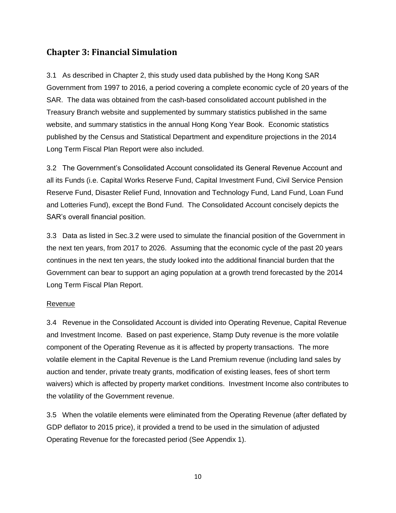# <span id="page-9-0"></span>**Chapter 3: Financial Simulation**

3.1 As described in Chapter 2, this study used data published by the Hong Kong SAR Government from 1997 to 2016, a period covering a complete economic cycle of 20 years of the SAR. The data was obtained from the cash-based consolidated account published in the Treasury Branch website and supplemented by summary statistics published in the same website, and summary statistics in the annual Hong Kong Year Book. Economic statistics published by the Census and Statistical Department and expenditure projections in the 2014 Long Term Fiscal Plan Report were also included.

3.2 The Government's Consolidated Account consolidated its General Revenue Account and all its Funds (i.e. Capital Works Reserve Fund, Capital Investment Fund, Civil Service Pension Reserve Fund, Disaster Relief Fund, Innovation and Technology Fund, Land Fund, Loan Fund and Lotteries Fund), except the Bond Fund. The Consolidated Account concisely depicts the SAR's overall financial position.

3.3 Data as listed in Sec.3.2 were used to simulate the financial position of the Government in the next ten years, from 2017 to 2026. Assuming that the economic cycle of the past 20 years continues in the next ten years, the study looked into the additional financial burden that the Government can bear to support an aging population at a growth trend forecasted by the 2014 Long Term Fiscal Plan Report.

#### Revenue

3.4 Revenue in the Consolidated Account is divided into Operating Revenue, Capital Revenue and Investment Income. Based on past experience, Stamp Duty revenue is the more volatile component of the Operating Revenue as it is affected by property transactions. The more volatile element in the Capital Revenue is the Land Premium revenue (including land sales by auction and tender, private treaty grants, modification of existing leases, fees of short term waivers) which is affected by property market conditions. Investment Income also contributes to the volatility of the Government revenue.

3.5 When the volatile elements were eliminated from the Operating Revenue (after deflated by GDP deflator to 2015 price), it provided a trend to be used in the simulation of adjusted Operating Revenue for the forecasted period (See Appendix 1).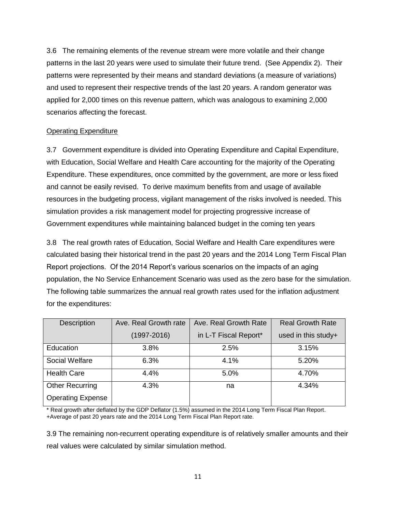3.6 The remaining elements of the revenue stream were more volatile and their change patterns in the last 20 years were used to simulate their future trend. (See Appendix 2). Their patterns were represented by their means and standard deviations (a measure of variations) and used to represent their respective trends of the last 20 years. A random generator was applied for 2,000 times on this revenue pattern, which was analogous to examining 2,000 scenarios affecting the forecast.

#### Operating Expenditure

3.7 Government expenditure is divided into Operating Expenditure and Capital Expenditure, with Education, Social Welfare and Health Care accounting for the majority of the Operating Expenditure. These expenditures, once committed by the government, are more or less fixed and cannot be easily revised. To derive maximum benefits from and usage of available resources in the budgeting process, vigilant management of the risks involved is needed. This simulation provides a risk management model for projecting progressive increase of Government expenditures while maintaining balanced budget in the coming ten years

3.8 The real growth rates of Education, Social Welfare and Health Care expenditures were calculated basing their historical trend in the past 20 years and the 2014 Long Term Fiscal Plan Report projections. Of the 2014 Report's various scenarios on the impacts of an aging population, the No Service Enhancement Scenario was used as the zero base for the simulation. The following table summarizes the annual real growth rates used for the inflation adjustment for the expenditures:

| <b>Description</b>       | Ave. Real Growth rate | Ave. Real Growth Rate | <b>Real Growth Rate</b> |
|--------------------------|-----------------------|-----------------------|-------------------------|
|                          | $(1997 - 2016)$       | in L-T Fiscal Report* | used in this study+     |
| <b>Education</b>         | 3.8%                  | 2.5%                  | 3.15%                   |
| Social Welfare           | 6.3%                  | 4.1%                  | 5.20%                   |
| <b>Health Care</b>       | 4.4%                  | 5.0%                  | 4.70%                   |
| <b>Other Recurring</b>   | 4.3%                  | na                    | 4.34%                   |
| <b>Operating Expense</b> |                       |                       |                         |

\* Real growth after deflated by the GDP Deflator (1.5%) assumed in the 2014 Long Term Fiscal Plan Report. +Average of past 20 years rate and the 2014 Long Term Fiscal Plan Report rate.

3.9 The remaining non-recurrent operating expenditure is of relatively smaller amounts and their real values were calculated by similar simulation method.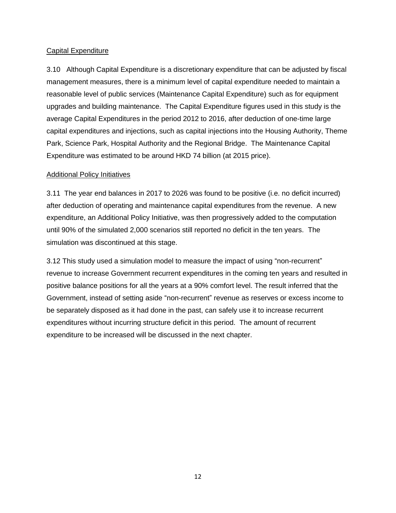#### Capital Expenditure

3.10 Although Capital Expenditure is a discretionary expenditure that can be adjusted by fiscal management measures, there is a minimum level of capital expenditure needed to maintain a reasonable level of public services (Maintenance Capital Expenditure) such as for equipment upgrades and building maintenance. The Capital Expenditure figures used in this study is the average Capital Expenditures in the period 2012 to 2016, after deduction of one-time large capital expenditures and injections, such as capital injections into the Housing Authority, Theme Park, Science Park, Hospital Authority and the Regional Bridge. The Maintenance Capital Expenditure was estimated to be around HKD 74 billion (at 2015 price).

#### Additional Policy Initiatives

3.11 The year end balances in 2017 to 2026 was found to be positive (i.e. no deficit incurred) after deduction of operating and maintenance capital expenditures from the revenue. A new expenditure, an Additional Policy Initiative, was then progressively added to the computation until 90% of the simulated 2,000 scenarios still reported no deficit in the ten years. The simulation was discontinued at this stage.

3.12 This study used a simulation model to measure the impact of using "non-recurrent" revenue to increase Government recurrent expenditures in the coming ten years and resulted in positive balance positions for all the years at a 90% comfort level. The result inferred that the Government, instead of setting aside "non-recurrent" revenue as reserves or excess income to be separately disposed as it had done in the past, can safely use it to increase recurrent expenditures without incurring structure deficit in this period. The amount of recurrent expenditure to be increased will be discussed in the next chapter.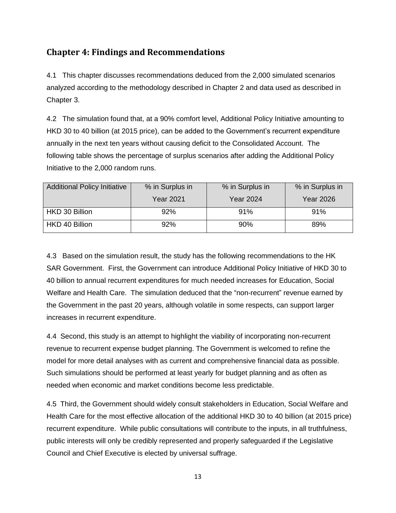# <span id="page-12-0"></span>**Chapter 4: Findings and Recommendations**

4.1 This chapter discusses recommendations deduced from the 2,000 simulated scenarios analyzed according to the methodology described in Chapter 2 and data used as described in Chapter 3.

4.2 The simulation found that, at a 90% comfort level, Additional Policy Initiative amounting to HKD 30 to 40 billion (at 2015 price), can be added to the Government's recurrent expenditure annually in the next ten years without causing deficit to the Consolidated Account. The following table shows the percentage of surplus scenarios after adding the Additional Policy Initiative to the 2,000 random runs.

| <b>Additional Policy Initiative</b> | % in Surplus in<br>% in Surplus in |                  | % in Surplus in  |
|-------------------------------------|------------------------------------|------------------|------------------|
|                                     | <b>Year 2021</b>                   | <b>Year 2024</b> | <b>Year 2026</b> |
| HKD 30 Billion                      | 92%                                | 91%              | 91%              |
| HKD 40 Billion                      | 92%                                | $90\%$           | 89%              |

4.3 Based on the simulation result, the study has the following recommendations to the HK SAR Government. First, the Government can introduce Additional Policy Initiative of HKD 30 to 40 billion to annual recurrent expenditures for much needed increases for Education, Social Welfare and Health Care. The simulation deduced that the "non-recurrent" revenue earned by the Government in the past 20 years, although volatile in some respects, can support larger increases in recurrent expenditure.

4.4 Second, this study is an attempt to highlight the viability of incorporating non-recurrent revenue to recurrent expense budget planning. The Government is welcomed to refine the model for more detail analyses with as current and comprehensive financial data as possible. Such simulations should be performed at least yearly for budget planning and as often as needed when economic and market conditions become less predictable.

4.5 Third, the Government should widely consult stakeholders in Education, Social Welfare and Health Care for the most effective allocation of the additional HKD 30 to 40 billion (at 2015 price) recurrent expenditure. While public consultations will contribute to the inputs, in all truthfulness, public interests will only be credibly represented and properly safeguarded if the Legislative Council and Chief Executive is elected by universal suffrage.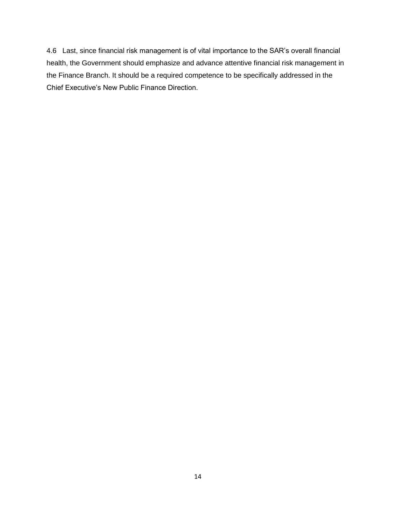4.6 Last, since financial risk management is of vital importance to the SAR's overall financial health, the Government should emphasize and advance attentive financial risk management in the Finance Branch. It should be a required competence to be specifically addressed in the Chief Executive's New Public Finance Direction.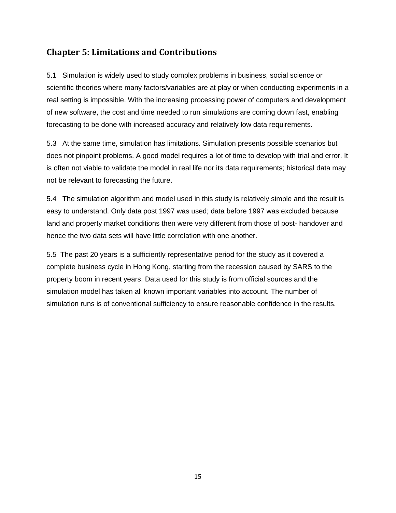# <span id="page-14-0"></span>**Chapter 5: Limitations and Contributions**

5.1 Simulation is widely used to study complex problems in business, social science or scientific theories where many factors/variables are at play or when conducting experiments in a real setting is impossible. With the increasing processing power of computers and development of new software, the cost and time needed to run simulations are coming down fast, enabling forecasting to be done with increased accuracy and relatively low data requirements.

5.3 At the same time, simulation has limitations. Simulation presents possible scenarios but does not pinpoint problems. A good model requires a lot of time to develop with trial and error. It is often not viable to validate the model in real life nor its data requirements; historical data may not be relevant to forecasting the future.

5.4 The simulation algorithm and model used in this study is relatively simple and the result is easy to understand. Only data post 1997 was used; data before 1997 was excluded because land and property market conditions then were very different from those of post- handover and hence the two data sets will have little correlation with one another.

5.5 The past 20 years is a sufficiently representative period for the study as it covered a complete business cycle in Hong Kong, starting from the recession caused by SARS to the property boom in recent years. Data used for this study is from official sources and the simulation model has taken all known important variables into account. The number of simulation runs is of conventional sufficiency to ensure reasonable confidence in the results.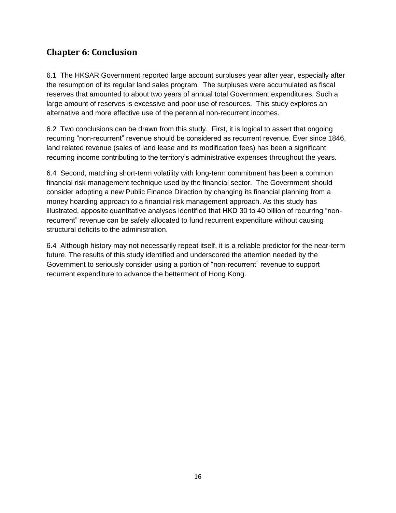# <span id="page-15-0"></span>**Chapter 6: Conclusion**

6.1 The HKSAR Government reported large account surpluses year after year, especially after the resumption of its regular land sales program. The surpluses were accumulated as fiscal reserves that amounted to about two years of annual total Government expenditures. Such a large amount of reserves is excessive and poor use of resources. This study explores an alternative and more effective use of the perennial non-recurrent incomes.

6.2 Two conclusions can be drawn from this study. First, it is logical to assert that ongoing recurring "non-recurrent" revenue should be considered as recurrent revenue. Ever since 1846, land related revenue (sales of land lease and its modification fees) has been a significant recurring income contributing to the territory's administrative expenses throughout the years.

6.4 Second, matching short-term volatility with long-term commitment has been a common financial risk management technique used by the financial sector. The Government should consider adopting a new Public Finance Direction by changing its financial planning from a money hoarding approach to a financial risk management approach. As this study has illustrated, apposite quantitative analyses identified that HKD 30 to 40 billion of recurring "nonrecurrent" revenue can be safely allocated to fund recurrent expenditure without causing structural deficits to the administration.

6.4 Although history may not necessarily repeat itself, it is a reliable predictor for the near-term future. The results of this study identified and underscored the attention needed by the Government to seriously consider using a portion of "non-recurrent" revenue to support recurrent expenditure to advance the betterment of Hong Kong.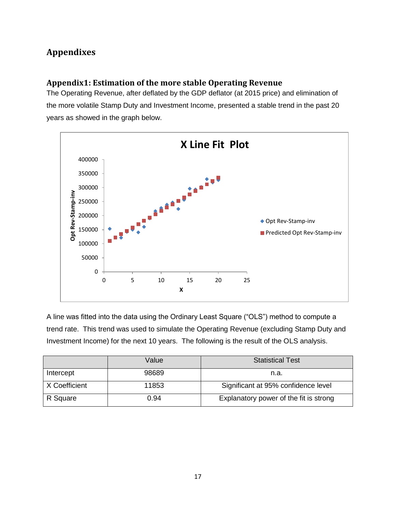# <span id="page-16-0"></span>**Appendixes**

## <span id="page-16-1"></span>**Appendix1: Estimation of the more stable Operating Revenue**

The Operating Revenue, after deflated by the GDP deflator (at 2015 price) and elimination of the more volatile Stamp Duty and Investment Income, presented a stable trend in the past 20 years as showed in the graph below.



A line was fitted into the data using the Ordinary Least Square ("OLS") method to compute a trend rate. This trend was used to simulate the Operating Revenue (excluding Stamp Duty and Investment Income) for the next 10 years. The following is the result of the OLS analysis.

|               | Value | <b>Statistical Test</b>                |
|---------------|-------|----------------------------------------|
| Intercept     | 98689 | n.a.                                   |
| X Coefficient | 11853 | Significant at 95% confidence level    |
| R Square      | 0.94  | Explanatory power of the fit is strong |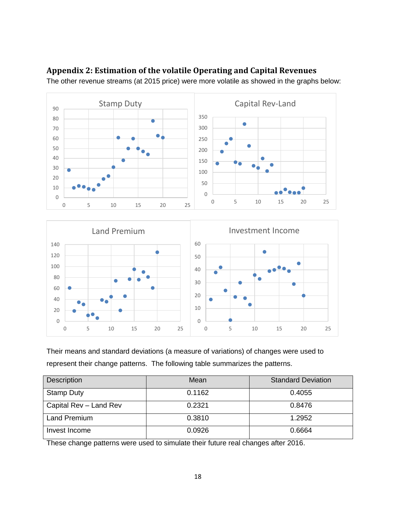

## <span id="page-17-0"></span>**Appendix 2: Estimation of the volatile Operating and Capital Revenues**

The other revenue streams (at 2015 price) were more volatile as showed in the graphs below:

Their means and standard deviations (a measure of variations) of changes were used to represent their change patterns. The following table summarizes the patterns.

| <b>Description</b>     | Mean   | <b>Standard Deviation</b> |
|------------------------|--------|---------------------------|
| <b>Stamp Duty</b>      | 0.1162 | 0.4055                    |
| Capital Rev - Land Rev | 0.2321 | 0.8476                    |
| Land Premium           | 0.3810 | 1.2952                    |
| Invest Income          | 0.0926 | 0.6664                    |

These change patterns were used to simulate their future real changes after 2016.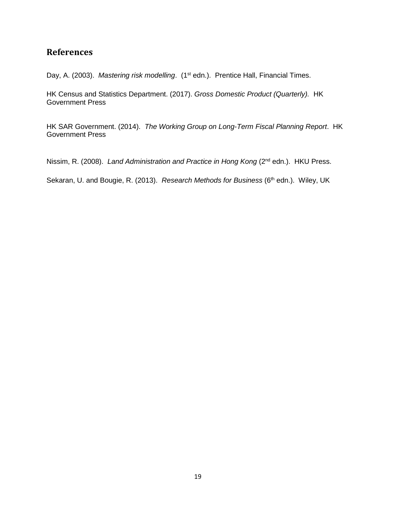## <span id="page-18-0"></span>**References**

Day, A. (2003). *Mastering risk modelling*. (1<sup>st</sup> edn.). Prentice Hall, Financial Times.

HK Census and Statistics Department. (2017). *Gross Domestic Product (Quarterly).* HK Government Press

HK SAR Government. (2014). *The Working Group on Long-Term Fiscal Planning Report*. HK Government Press

Nissim, R. (2008). *Land Administration and Practice in Hong Kong* (2nd edn.). HKU Press.

Sekaran, U. and Bougie, R. (2013). *Research Methods for Business* (6<sup>th</sup> edn.). Wiley, UK